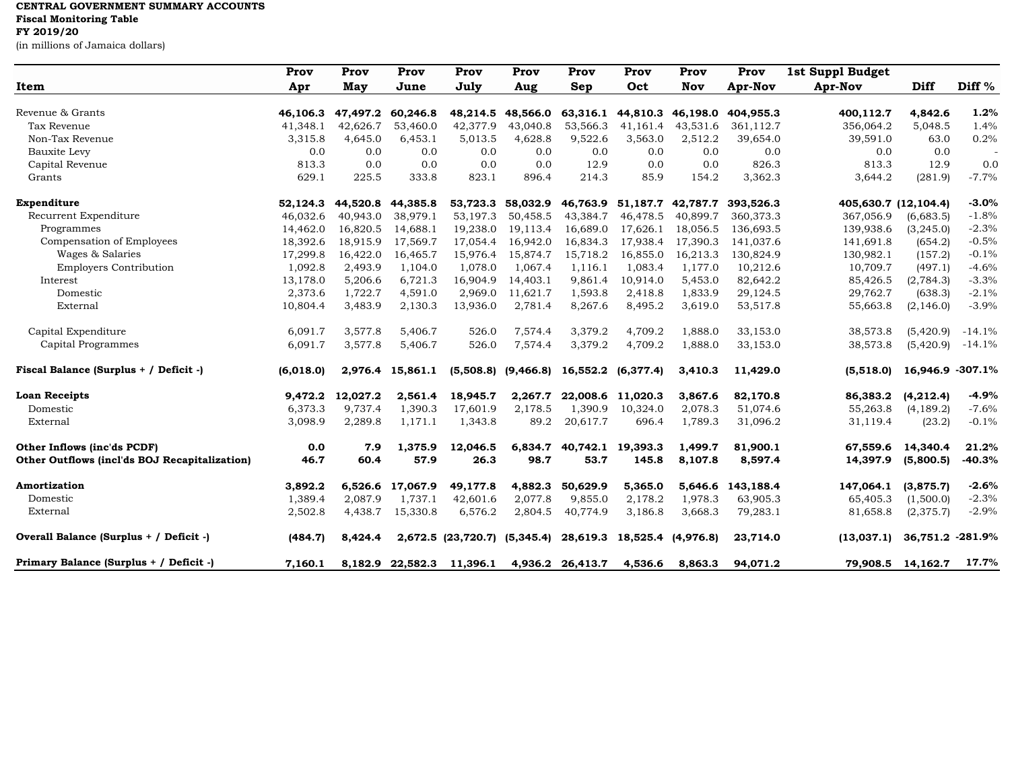## **CENTRAL GOVERNMENT SUMMARY ACCOUNTS Fiscal Monitoring Table**

**FY 2019/20**

(in millions of Jamaica dollars)

|                                               | Prov      | Prov     | Prov             | Prov                         | Prov     | Prov                                           | Prov                        | Prov       | Prov      | 1st Suppl Budget |                      |                   |
|-----------------------------------------------|-----------|----------|------------------|------------------------------|----------|------------------------------------------------|-----------------------------|------------|-----------|------------------|----------------------|-------------------|
| Item                                          | Apr       | May      | June             | July                         | Aug      | Sep                                            | Oct                         | <b>Nov</b> | Apr-Nov   | Apr-Nov          | Diff                 | Diff <sup>%</sup> |
| Revenue & Grants                              | 46,106.3  | 47,497.2 | 60,246.8         | 48,214.5                     | 48,566.0 | 63,316.1                                       | 44,810.3                    | 46,198.0   | 404,955.3 | 400,112.7        | 4,842.6              | 1.2%              |
| Tax Revenue                                   | 41,348.1  | 42,626.7 | 53,460.0         | 42,377.9                     | 43,040.8 | 53,566.3                                       | 41,161.4                    | 43,531.6   | 361,112.7 | 356,064.2        | 5,048.5              | 1.4%              |
| Non-Tax Revenue                               | 3,315.8   | 4,645.0  | 6,453.1          | 5,013.5                      | 4,628.8  | 9,522.6                                        | 3,563.0                     | 2,512.2    | 39,654.0  | 39,591.0         | 63.0                 | 0.2%              |
| Bauxite Levy                                  | 0.0       | 0.0      | 0.0              | 0.0                          | 0.0      | 0.0                                            | 0.0                         | 0.0        | 0.0       | 0.0              | 0.0                  |                   |
| Capital Revenue                               | 813.3     | 0.0      | 0.0              | 0.0                          | 0.0      | 12.9                                           | 0.0                         | 0.0        | 826.3     | 813.3            | 12.9                 | 0.0               |
| Grants                                        | 629.1     | 225.5    | 333.8            | 823.1                        | 896.4    | 214.3                                          | 85.9                        | 154.2      | 3,362.3   | 3,644.2          | (281.9)              | $-7.7%$           |
| Expenditure                                   | 52,124.3  | 44,520.8 | 44,385.8         | 53,723.3                     |          | 58,032.9 46,763.9 51,187.7                     |                             | 42,787.7   | 393,526.3 |                  | 405,630.7 (12,104.4) | $-3.0%$           |
| Recurrent Expenditure                         | 46,032.6  | 40,943.0 | 38,979.1         | 53,197.3                     | 50,458.5 | 43,384.7                                       | 46,478.5                    | 40,899.7   | 360,373.3 | 367,056.9        | (6,683.5)            | $-1.8%$           |
| Programmes                                    | 14,462.0  | 16,820.5 | 14,688.1         | 19,238.0                     | 19,113.4 | 16,689.0                                       | 17,626.1                    | 18,056.5   | 136,693.5 | 139,938.6        | (3,245.0)            | $-2.3%$           |
| Compensation of Employees                     | 18,392.6  | 18,915.9 | 17,569.7         | 17,054.4                     | 16,942.0 | 16,834.3                                       | 17,938.4                    | 17,390.3   | 141,037.6 | 141,691.8        | (654.2)              | $-0.5%$           |
| Wages & Salaries                              | 17,299.8  | 16,422.0 | 16,465.7         | 15,976.4                     | 15,874.7 | 15,718.2                                       | 16,855.0                    | 16,213.3   | 130,824.9 | 130,982.1        | (157.2)              | $-0.1%$           |
| <b>Employers Contribution</b>                 | 1,092.8   | 2,493.9  | 1,104.0          | 1,078.0                      | 1,067.4  | 1,116.1                                        | 1,083.4                     | 1,177.0    | 10,212.6  | 10,709.7         | (497.1)              | $-4.6%$           |
| Interest                                      | 13,178.0  | 5,206.6  | 6,721.3          | 16,904.9                     | 14,403.1 | 9,861.4                                        | 10,914.0                    | 5,453.0    | 82,642.2  | 85,426.5         | (2,784.3)            | $-3.3%$           |
| Domestic                                      | 2,373.6   | 1,722.7  | 4,591.0          | 2,969.0                      | 11,621.7 | 1,593.8                                        | 2,418.8                     | 1,833.9    | 29,124.5  | 29,762.7         | (638.3)              | $-2.1%$           |
| External                                      | 10,804.4  | 3,483.9  | 2,130.3          | 13,936.0                     | 2,781.4  | 8,267.6                                        | 8,495.2                     | 3,619.0    | 53,517.8  | 55,663.8         | (2, 146.0)           | $-3.9%$           |
| Capital Expenditure                           | 6,091.7   | 3,577.8  | 5,406.7          | 526.0                        | 7,574.4  | 3,379.2                                        | 4,709.2                     | 1,888.0    | 33,153.0  | 38,573.8         | (5,420.9)            | $-14.1%$          |
| Capital Programmes                            | 6,091.7   | 3,577.8  | 5,406.7          | 526.0                        | 7,574.4  | 3,379.2                                        | 4,709.2                     | 1,888.0    | 33,153.0  | 38,573.8         | (5,420.9)            | $-14.1%$          |
| Fiscal Balance (Surplus + / Deficit -)        | (6,018.0) |          | 2,976.4 15,861.1 |                              |          | $(5,508.8)$ $(9,466.8)$ $16,552.2$ $(6,377.4)$ |                             | 3,410.3    | 11,429.0  | (5,518.0)        | 16,946.9 -307.1%     |                   |
| <b>Loan Receipts</b>                          | 9,472.2   | 12,027.2 | 2,561.4          | 18,945.7                     | 2,267.7  |                                                | 22,008.6 11,020.3           | 3,867.6    | 82,170.8  | 86,383.2         | (4,212.4)            | $-4.9%$           |
| Domestic                                      | 6,373.3   | 9,737.4  | 1,390.3          | 17,601.9                     | 2,178.5  | 1,390.9                                        | 10,324.0                    | 2,078.3    | 51,074.6  | 55,263.8         | (4, 189.2)           | $-7.6%$           |
| External                                      | 3,098.9   | 2,289.8  | 1,171.1          | 1,343.8                      | 89.2     | 20,617.7                                       | 696.4                       | 1,789.3    | 31,096.2  | 31,119.4         | (23.2)               | $-0.1%$           |
| Other Inflows (inc'ds PCDF)                   | 0.0       | 7.9      | 1,375.9          | 12,046.5                     |          | 6,834.7 40,742.1 19,393.3                      |                             | 1.499.7    | 81,900.1  | 67.559.6         | 14.340.4             | 21.2%             |
| Other Outflows (incl'ds BOJ Recapitalization) | 46.7      | 60.4     | 57.9             | 26.3                         | 98.7     | 53.7                                           | 145.8                       | 8,107.8    | 8,597.4   | 14,397.9         | (5,800.5)            | $-40.3%$          |
| Amortization                                  | 3,892.2   | 6,526.6  | 17,067.9         | 49,177.8                     | 4,882.3  | 50,629.9                                       | 5,365.0                     | 5.646.6    | 143,188.4 | 147,064.1        | (3,875.7)            | $-2.6%$           |
| Domestic                                      | 1,389.4   | 2,087.9  | 1.737.1          | 42,601.6                     | 2,077.8  | 9,855.0                                        | 2,178.2                     | 1.978.3    | 63,905.3  | 65,405.3         | (1,500.0)            | $-2.3%$           |
| External                                      | 2,502.8   | 4,438.7  | 15,330.8         | 6,576.2                      | 2,804.5  | 40,774.9                                       | 3,186.8                     | 3,668.3    | 79,283.1  | 81,658.8         | (2,375.7)            | $-2.9%$           |
| Overall Balance (Surplus + / Deficit -)       | (484.7)   | 8,424.4  |                  | 2,672.5 (23,720.7) (5,345.4) |          |                                                | 28,619.3 18,525.4 (4,976.8) |            | 23,714.0  | (13,037,1)       | 36,751.2 -281.9%     |                   |
| Primary Balance (Surplus + / Deficit -)       | 7,160.1   |          | 8,182.9 22,582.3 | 11,396.1                     |          | 4,936.2 26,413.7                               | 4,536.6                     | 8.863.3    | 94.071.2  |                  | 79,908.5 14,162.7    | 17.7%             |